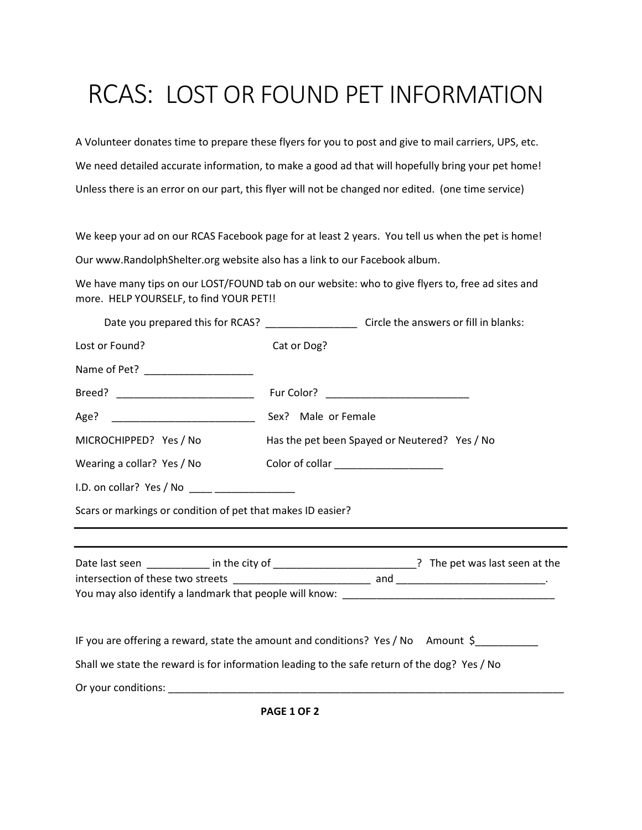## RCAS: LOST OR FOUND PET INFORMATION

A Volunteer donates time to prepare these flyers for you to post and give to mail carriers, UPS, etc. We need detailed accurate information, to make a good ad that will hopefully bring your pet home! Unless there is an error on our part, this flyer will not be changed nor edited. (one time service)

We keep your ad on our RCAS Facebook page for at least 2 years. You tell us when the pet is home! Our www.RandolphShelter.org website also has a link to our Facebook album.

We have many tips on our LOST/FOUND tab on our website: who to give flyers to, free ad sites and more. HELP YOURSELF, to find YOUR PET!!

|                                                                                              | Date you prepared this for RCAS? ______________________ Circle the answers or fill in blanks:            |
|----------------------------------------------------------------------------------------------|----------------------------------------------------------------------------------------------------------|
| Lost or Found?                                                                               | Cat or Dog?                                                                                              |
| Name of Pet? _______________________                                                         |                                                                                                          |
|                                                                                              | Fur Color? ____________________________                                                                  |
|                                                                                              |                                                                                                          |
| MICROCHIPPED? Yes / No                                                                       | Has the pet been Spayed or Neutered? Yes / No                                                            |
|                                                                                              |                                                                                                          |
| I.D. on collar? Yes / No _____ _______________                                               |                                                                                                          |
| Scars or markings or condition of pet that makes ID easier?                                  |                                                                                                          |
|                                                                                              |                                                                                                          |
|                                                                                              | Date last seen _____________ in the city of ______________________________? The pet was last seen at the |
|                                                                                              |                                                                                                          |
|                                                                                              |                                                                                                          |
|                                                                                              | IF you are offering a reward, state the amount and conditions? Yes / No Amount \$                        |
| Shall we state the reward is for information leading to the safe return of the dog? Yes / No |                                                                                                          |
|                                                                                              |                                                                                                          |
|                                                                                              |                                                                                                          |

PAGE 1 OF 2